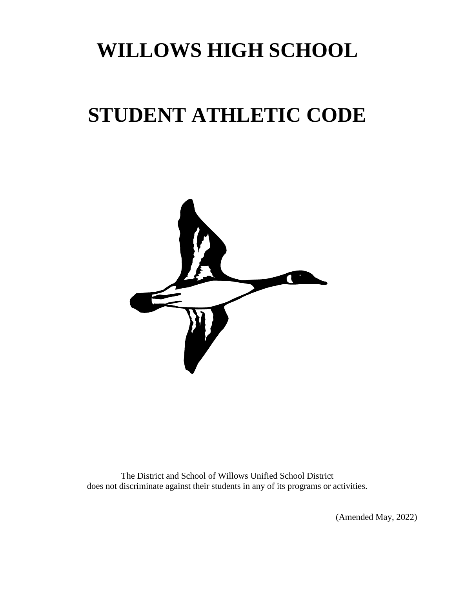# **WILLOWS HIGH SCHOOL**

# **STUDENT ATHLETIC CODE**



The District and School of Willows Unified School District does not discriminate against their students in any of its programs or activities.

(Amended May, 2022)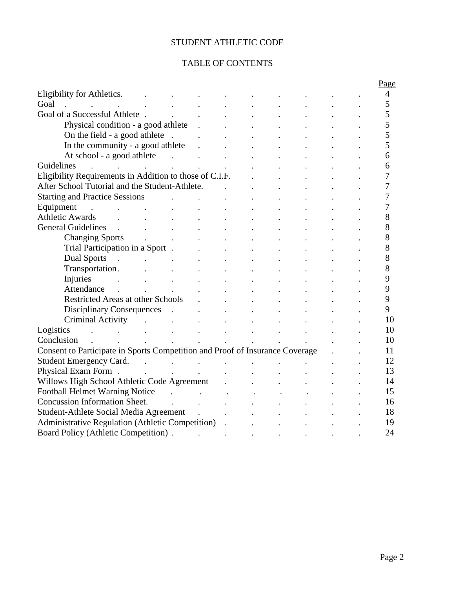### STUDENT ATHLETIC CODE

### TABLE OF CONTENTS

| Eligibility for Athletics.<br>$\overline{4}$<br>5<br>Goal<br>Goal of a Successful Athlete.<br>5<br>5<br>Physical condition - a good athlete<br>5<br>On the field - a good athlete .<br>5<br>In the community - a good athlete<br>At school - a good athlete<br>6<br>Guidelines<br>6<br>Eligibility Requirements in Addition to those of C.I.F.<br>7<br>After School Tutorial and the Student-Athlete.<br>7<br><b>Starting and Practice Sessions</b><br>7<br>Equipment<br>7<br>$\mathcal{L}^{\text{max}}$<br>$\ddot{\phantom{a}}$<br><b>Athletic Awards</b><br>8<br><b>General Guidelines</b><br>8<br>$\mathbb{R}^2$<br><b>Changing Sports</b><br>8<br>Trial Participation in a Sport.<br>8<br><b>Dual Sports</b><br>8<br>$\sim$ .<br>Transportation.<br>8<br>Injuries<br>9<br>$\ddot{\phantom{a}}$<br>$\ddot{\phantom{a}}$ |
|----------------------------------------------------------------------------------------------------------------------------------------------------------------------------------------------------------------------------------------------------------------------------------------------------------------------------------------------------------------------------------------------------------------------------------------------------------------------------------------------------------------------------------------------------------------------------------------------------------------------------------------------------------------------------------------------------------------------------------------------------------------------------------------------------------------------------|
|                                                                                                                                                                                                                                                                                                                                                                                                                                                                                                                                                                                                                                                                                                                                                                                                                            |
|                                                                                                                                                                                                                                                                                                                                                                                                                                                                                                                                                                                                                                                                                                                                                                                                                            |
|                                                                                                                                                                                                                                                                                                                                                                                                                                                                                                                                                                                                                                                                                                                                                                                                                            |
|                                                                                                                                                                                                                                                                                                                                                                                                                                                                                                                                                                                                                                                                                                                                                                                                                            |
|                                                                                                                                                                                                                                                                                                                                                                                                                                                                                                                                                                                                                                                                                                                                                                                                                            |
|                                                                                                                                                                                                                                                                                                                                                                                                                                                                                                                                                                                                                                                                                                                                                                                                                            |
|                                                                                                                                                                                                                                                                                                                                                                                                                                                                                                                                                                                                                                                                                                                                                                                                                            |
|                                                                                                                                                                                                                                                                                                                                                                                                                                                                                                                                                                                                                                                                                                                                                                                                                            |
|                                                                                                                                                                                                                                                                                                                                                                                                                                                                                                                                                                                                                                                                                                                                                                                                                            |
|                                                                                                                                                                                                                                                                                                                                                                                                                                                                                                                                                                                                                                                                                                                                                                                                                            |
|                                                                                                                                                                                                                                                                                                                                                                                                                                                                                                                                                                                                                                                                                                                                                                                                                            |
|                                                                                                                                                                                                                                                                                                                                                                                                                                                                                                                                                                                                                                                                                                                                                                                                                            |
|                                                                                                                                                                                                                                                                                                                                                                                                                                                                                                                                                                                                                                                                                                                                                                                                                            |
|                                                                                                                                                                                                                                                                                                                                                                                                                                                                                                                                                                                                                                                                                                                                                                                                                            |
|                                                                                                                                                                                                                                                                                                                                                                                                                                                                                                                                                                                                                                                                                                                                                                                                                            |
|                                                                                                                                                                                                                                                                                                                                                                                                                                                                                                                                                                                                                                                                                                                                                                                                                            |
|                                                                                                                                                                                                                                                                                                                                                                                                                                                                                                                                                                                                                                                                                                                                                                                                                            |
|                                                                                                                                                                                                                                                                                                                                                                                                                                                                                                                                                                                                                                                                                                                                                                                                                            |
|                                                                                                                                                                                                                                                                                                                                                                                                                                                                                                                                                                                                                                                                                                                                                                                                                            |
| Attendance<br>9                                                                                                                                                                                                                                                                                                                                                                                                                                                                                                                                                                                                                                                                                                                                                                                                            |
| <b>Restricted Areas at other Schools</b><br>9                                                                                                                                                                                                                                                                                                                                                                                                                                                                                                                                                                                                                                                                                                                                                                              |
| 9<br><b>Disciplinary Consequences</b>                                                                                                                                                                                                                                                                                                                                                                                                                                                                                                                                                                                                                                                                                                                                                                                      |
| Criminal Activity<br>10<br>$\sim$ $\sim$                                                                                                                                                                                                                                                                                                                                                                                                                                                                                                                                                                                                                                                                                                                                                                                   |
| Logistics<br>10<br>$\ddot{\phantom{a}}$<br>$\mathcal{L}$ . The state $\mathcal{L}$<br>$\bullet$                                                                                                                                                                                                                                                                                                                                                                                                                                                                                                                                                                                                                                                                                                                            |
| Conclusion<br>10                                                                                                                                                                                                                                                                                                                                                                                                                                                                                                                                                                                                                                                                                                                                                                                                           |
| Consent to Participate in Sports Competition and Proof of Insurance Coverage<br>11                                                                                                                                                                                                                                                                                                                                                                                                                                                                                                                                                                                                                                                                                                                                         |
| Student Emergency Card.<br>12<br>$\mathbf{r}$ and $\mathbf{r}$ are all $\mathbf{r}$ and $\mathbf{r}$                                                                                                                                                                                                                                                                                                                                                                                                                                                                                                                                                                                                                                                                                                                       |
| Physical Exam Form.<br>13<br>$\mathbf{L}$                                                                                                                                                                                                                                                                                                                                                                                                                                                                                                                                                                                                                                                                                                                                                                                  |
| Willows High School Athletic Code Agreement<br>14                                                                                                                                                                                                                                                                                                                                                                                                                                                                                                                                                                                                                                                                                                                                                                          |
| <b>Football Helmet Warning Notice</b><br>15<br>$\mathcal{L}^{\text{max}}$                                                                                                                                                                                                                                                                                                                                                                                                                                                                                                                                                                                                                                                                                                                                                  |
| <b>Concussion Information Sheet.</b><br>16<br>$\sim$ $\sim$<br>$\ddot{\phantom{a}}$                                                                                                                                                                                                                                                                                                                                                                                                                                                                                                                                                                                                                                                                                                                                        |
| Student-Athlete Social Media Agreement<br>18<br>$\mathbf{r}$ . The state $\mathbf{r}$                                                                                                                                                                                                                                                                                                                                                                                                                                                                                                                                                                                                                                                                                                                                      |
| Administrative Regulation (Athletic Competition).<br>19                                                                                                                                                                                                                                                                                                                                                                                                                                                                                                                                                                                                                                                                                                                                                                    |
| Board Policy (Athletic Competition).<br>24                                                                                                                                                                                                                                                                                                                                                                                                                                                                                                                                                                                                                                                                                                                                                                                 |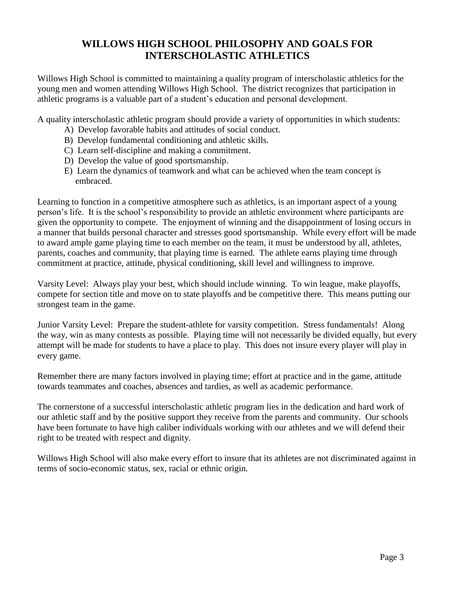### **WILLOWS HIGH SCHOOL PHILOSOPHY AND GOALS FOR INTERSCHOLASTIC ATHLETICS**

Willows High School is committed to maintaining a quality program of interscholastic athletics for the young men and women attending Willows High School. The district recognizes that participation in athletic programs is a valuable part of a student's education and personal development.

A quality interscholastic athletic program should provide a variety of opportunities in which students:

- A) Develop favorable habits and attitudes of social conduct.
- B) Develop fundamental conditioning and athletic skills.
- C) Learn self-discipline and making a commitment.
- D) Develop the value of good sportsmanship.
- E) Learn the dynamics of teamwork and what can be achieved when the team concept is embraced.

Learning to function in a competitive atmosphere such as athletics, is an important aspect of a young person's life. It is the school's responsibility to provide an athletic environment where participants are given the opportunity to compete. The enjoyment of winning and the disappointment of losing occurs in a manner that builds personal character and stresses good sportsmanship. While every effort will be made to award ample game playing time to each member on the team, it must be understood by all, athletes, parents, coaches and community, that playing time is earned. The athlete earns playing time through commitment at practice, attitude, physical conditioning, skill level and willingness to improve.

Varsity Level: Always play your best, which should include winning. To win league, make playoffs, compete for section title and move on to state playoffs and be competitive there. This means putting our strongest team in the game.

Junior Varsity Level: Prepare the student-athlete for varsity competition. Stress fundamentals! Along the way, win as many contests as possible. Playing time will not necessarily be divided equally, but every attempt will be made for students to have a place to play. This does not insure every player will play in every game.

Remember there are many factors involved in playing time; effort at practice and in the game, attitude towards teammates and coaches, absences and tardies, as well as academic performance.

The cornerstone of a successful interscholastic athletic program lies in the dedication and hard work of our athletic staff and by the positive support they receive from the parents and community. Our schools have been fortunate to have high caliber individuals working with our athletes and we will defend their right to be treated with respect and dignity.

Willows High School will also make every effort to insure that its athletes are not discriminated against in terms of socio-economic status, sex, racial or ethnic origin.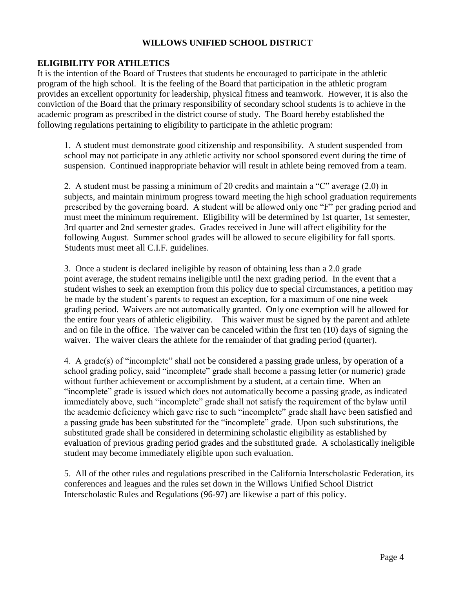### **WILLOWS UNIFIED SCHOOL DISTRICT**

### **ELIGIBILITY FOR ATHLETICS**

It is the intention of the Board of Trustees that students be encouraged to participate in the athletic program of the high school. It is the feeling of the Board that participation in the athletic program provides an excellent opportunity for leadership, physical fitness and teamwork. However, it is also the conviction of the Board that the primary responsibility of secondary school students is to achieve in the academic program as prescribed in the district course of study. The Board hereby established the following regulations pertaining to eligibility to participate in the athletic program:

1. A student must demonstrate good citizenship and responsibility. A student suspended from school may not participate in any athletic activity nor school sponsored event during the time of suspension. Continued inappropriate behavior will result in athlete being removed from a team.

2. A student must be passing a minimum of 20 credits and maintain a "C" average (2.0) in subjects, and maintain minimum progress toward meeting the high school graduation requirements prescribed by the governing board. A student will be allowed only one "F" per grading period and must meet the minimum requirement. Eligibility will be determined by 1st quarter, 1st semester, 3rd quarter and 2nd semester grades. Grades received in June will affect eligibility for the following August. Summer school grades will be allowed to secure eligibility for fall sports. Students must meet all C.I.F. guidelines.

3. Once a student is declared ineligible by reason of obtaining less than a 2.0 grade point average, the student remains ineligible until the next grading period. In the event that a student wishes to seek an exemption from this policy due to special circumstances, a petition may be made by the student's parents to request an exception, for a maximum of one nine week grading period. Waivers are not automatically granted. Only one exemption will be allowed for the entire four years of athletic eligibility. This waiver must be signed by the parent and athlete and on file in the office. The waiver can be canceled within the first ten (10) days of signing the waiver. The waiver clears the athlete for the remainder of that grading period (quarter).

4. A grade(s) of "incomplete" shall not be considered a passing grade unless, by operation of a school grading policy, said "incomplete" grade shall become a passing letter (or numeric) grade without further achievement or accomplishment by a student, at a certain time. When an "incomplete" grade is issued which does not automatically become a passing grade, as indicated immediately above, such "incomplete" grade shall not satisfy the requirement of the bylaw until the academic deficiency which gave rise to such "incomplete" grade shall have been satisfied and a passing grade has been substituted for the "incomplete" grade. Upon such substitutions, the substituted grade shall be considered in determining scholastic eligibility as established by evaluation of previous grading period grades and the substituted grade. A scholastically ineligible student may become immediately eligible upon such evaluation.

5. All of the other rules and regulations prescribed in the California Interscholastic Federation, its conferences and leagues and the rules set down in the Willows Unified School District Interscholastic Rules and Regulations (96-97) are likewise a part of this policy.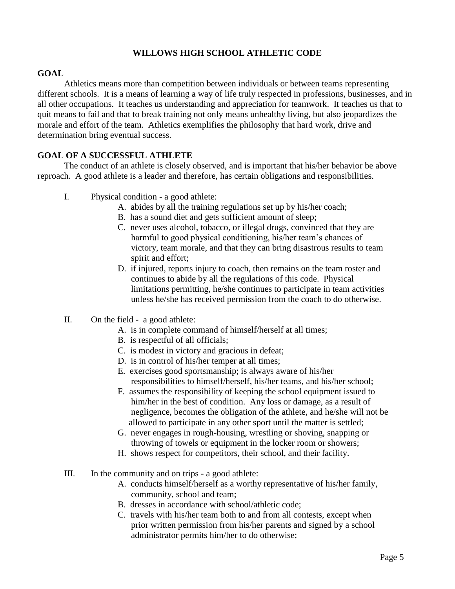### **WILLOWS HIGH SCHOOL ATHLETIC CODE**

### **GOAL**

Athletics means more than competition between individuals or between teams representing different schools. It is a means of learning a way of life truly respected in professions, businesses, and in all other occupations. It teaches us understanding and appreciation for teamwork. It teaches us that to quit means to fail and that to break training not only means unhealthy living, but also jeopardizes the morale and effort of the team. Athletics exemplifies the philosophy that hard work, drive and determination bring eventual success.

### **GOAL OF A SUCCESSFUL ATHLETE**

The conduct of an athlete is closely observed, and is important that his/her behavior be above reproach. A good athlete is a leader and therefore, has certain obligations and responsibilities.

- I. Physical condition a good athlete:
	- A. abides by all the training regulations set up by his/her coach;
	- B. has a sound diet and gets sufficient amount of sleep;
	- C. never uses alcohol, tobacco, or illegal drugs, convinced that they are harmful to good physical conditioning, his/her team's chances of victory, team morale, and that they can bring disastrous results to team spirit and effort;
	- D. if injured, reports injury to coach, then remains on the team roster and continues to abide by all the regulations of this code. Physical limitations permitting, he/she continues to participate in team activities unless he/she has received permission from the coach to do otherwise.
- II. On the field a good athlete:
	- A. is in complete command of himself/herself at all times;
	- B. is respectful of all officials;
	- C. is modest in victory and gracious in defeat;
	- D. is in control of his/her temper at all times;
	- E. exercises good sportsmanship; is always aware of his/her responsibilities to himself/herself, his/her teams, and his/her school;
	- F. assumes the responsibility of keeping the school equipment issued to him/her in the best of condition. Any loss or damage, as a result of negligence, becomes the obligation of the athlete, and he/she will not be allowed to participate in any other sport until the matter is settled;
	- G. never engages in rough-housing, wrestling or shoving, snapping or throwing of towels or equipment in the locker room or showers;
	- H. shows respect for competitors, their school, and their facility.
- III. In the community and on trips a good athlete:
	- A. conducts himself/herself as a worthy representative of his/her family, community, school and team;
	- B. dresses in accordance with school/athletic code;
	- C. travels with his/her team both to and from all contests, except when prior written permission from his/her parents and signed by a school administrator permits him/her to do otherwise;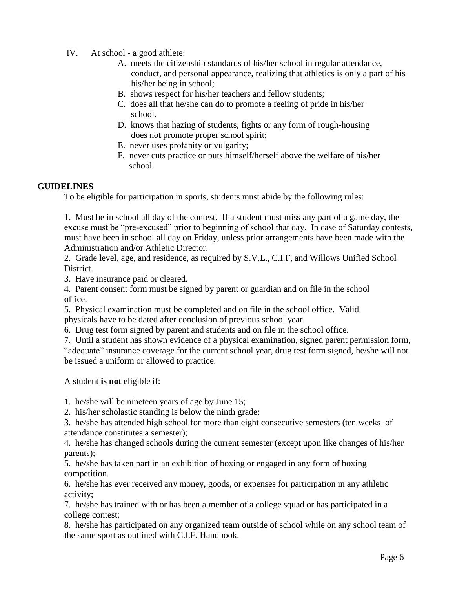- IV. At school a good athlete:
	- A. meets the citizenship standards of his/her school in regular attendance, conduct, and personal appearance, realizing that athletics is only a part of his his/her being in school;
	- B. shows respect for his/her teachers and fellow students;
	- C. does all that he/she can do to promote a feeling of pride in his/her school.
	- D. knows that hazing of students, fights or any form of rough-housing does not promote proper school spirit;
	- E. never uses profanity or vulgarity;
	- F. never cuts practice or puts himself/herself above the welfare of his/her school.

#### **GUIDELINES**

To be eligible for participation in sports, students must abide by the following rules:

1. Must be in school all day of the contest. If a student must miss any part of a game day, the excuse must be "pre-excused" prior to beginning of school that day. In case of Saturday contests, must have been in school all day on Friday, unless prior arrangements have been made with the Administration and/or Athletic Director.

2. Grade level, age, and residence, as required by S.V.L., C.I.F, and Willows Unified School District.

3. Have insurance paid or cleared.

4. Parent consent form must be signed by parent or guardian and on file in the school office.

5. Physical examination must be completed and on file in the school office. Valid physicals have to be dated after conclusion of previous school year.

6. Drug test form signed by parent and students and on file in the school office.

7. Until a student has shown evidence of a physical examination, signed parent permission form,

"adequate" insurance coverage for the current school year, drug test form signed, he/she will not be issued a uniform or allowed to practice.

A student **is not** eligible if:

1. he/she will be nineteen years of age by June 15;

2. his/her scholastic standing is below the ninth grade;

3. he/she has attended high school for more than eight consecutive semesters (ten weeks of attendance constitutes a semester);

4. he/she has changed schools during the current semester (except upon like changes of his/her parents);

5. he/she has taken part in an exhibition of boxing or engaged in any form of boxing competition.

6. he/she has ever received any money, goods, or expenses for participation in any athletic activity;

7. he/she has trained with or has been a member of a college squad or has participated in a college contest;

8. he/she has participated on any organized team outside of school while on any school team of the same sport as outlined with C.I.F. Handbook.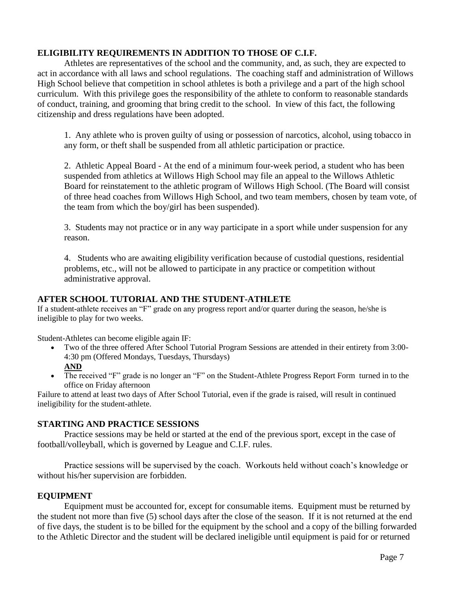### **ELIGIBILITY REQUIREMENTS IN ADDITION TO THOSE OF C.I.F.**

Athletes are representatives of the school and the community, and, as such, they are expected to act in accordance with all laws and school regulations. The coaching staff and administration of Willows High School believe that competition in school athletes is both a privilege and a part of the high school curriculum. With this privilege goes the responsibility of the athlete to conform to reasonable standards of conduct, training, and grooming that bring credit to the school. In view of this fact, the following citizenship and dress regulations have been adopted.

1. Any athlete who is proven guilty of using or possession of narcotics, alcohol, using tobacco in any form, or theft shall be suspended from all athletic participation or practice.

2. Athletic Appeal Board - At the end of a minimum four-week period, a student who has been suspended from athletics at Willows High School may file an appeal to the Willows Athletic Board for reinstatement to the athletic program of Willows High School. (The Board will consist of three head coaches from Willows High School, and two team members, chosen by team vote, of the team from which the boy/girl has been suspended).

3. Students may not practice or in any way participate in a sport while under suspension for any reason.

4. Students who are awaiting eligibility verification because of custodial questions, residential problems, etc., will not be allowed to participate in any practice or competition without administrative approval.

### **AFTER SCHOOL TUTORIAL AND THE STUDENT-ATHLETE**

If a student-athlete receives an "F" grade on any progress report and/or quarter during the season, he/she is ineligible to play for two weeks.

Student-Athletes can become eligible again IF:

- Two of the three offered After School Tutorial Program Sessions are attended in their entirety from 3:00- 4:30 pm (Offered Mondays, Tuesdays, Thursdays) **AND**
- The received "F" grade is no longer an "F" on the Student-Athlete Progress Report Form turned in to the office on Friday afternoon

Failure to attend at least two days of After School Tutorial, even if the grade is raised, will result in continued ineligibility for the student-athlete.

### **STARTING AND PRACTICE SESSIONS**

Practice sessions may be held or started at the end of the previous sport, except in the case of football/volleyball, which is governed by League and C.I.F. rules.

Practice sessions will be supervised by the coach. Workouts held without coach's knowledge or without his/her supervision are forbidden.

### **EQUIPMENT**

Equipment must be accounted for, except for consumable items. Equipment must be returned by the student not more than five (5) school days after the close of the season. If it is not returned at the end of five days, the student is to be billed for the equipment by the school and a copy of the billing forwarded to the Athletic Director and the student will be declared ineligible until equipment is paid for or returned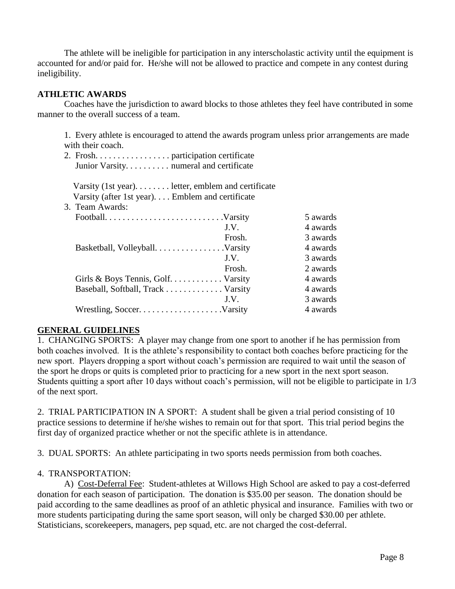The athlete will be ineligible for participation in any interscholastic activity until the equipment is accounted for and/or paid for. He/she will not be allowed to practice and compete in any contest during ineligibility.

### **ATHLETIC AWARDS**

Coaches have the jurisdiction to award blocks to those athletes they feel have contributed in some manner to the overall success of a team.

1. Every athlete is encouraged to attend the awards program unless prior arrangements are made with their coach.

2. Frosh. . . . . . . . . . . . . . . . . participation certificate Junior Varsity. . . . . . . . . . numeral and certificate

 Varsity (1st year). . . . . . . . letter, emblem and certificate Varsity (after 1st year). . . . Emblem and certificate 3. Team Awards:

| 3. Team Awards:                    |        |          |
|------------------------------------|--------|----------|
|                                    |        | 5 awards |
|                                    | J.V.   | 4 awards |
|                                    | Frosh. | 3 awards |
|                                    |        | 4 awards |
|                                    | J.V.   | 3 awards |
|                                    | Frosh. | 2 awards |
| Girls & Boys Tennis, Golf. Varsity |        | 4 awards |
| Baseball, Softball, Track Varsity  |        | 4 awards |
|                                    | J.V.   | 3 awards |
|                                    |        | 4 awards |

### **GENERAL GUIDELINES**

1. CHANGING SPORTS: A player may change from one sport to another if he has permission from both coaches involved. It is the athlete's responsibility to contact both coaches before practicing for the new sport. Players dropping a sport without coach's permission are required to wait until the season of the sport he drops or quits is completed prior to practicing for a new sport in the next sport season. Students quitting a sport after 10 days without coach's permission, will not be eligible to participate in 1/3 of the next sport.

2. TRIAL PARTICIPATION IN A SPORT: A student shall be given a trial period consisting of 10 practice sessions to determine if he/she wishes to remain out for that sport. This trial period begins the first day of organized practice whether or not the specific athlete is in attendance.

3. DUAL SPORTS: An athlete participating in two sports needs permission from both coaches.

#### 4. TRANSPORTATION:

A) Cost-Deferral Fee: Student-athletes at Willows High School are asked to pay a cost-deferred donation for each season of participation. The donation is \$35.00 per season. The donation should be paid according to the same deadlines as proof of an athletic physical and insurance. Families with two or more students participating during the same sport season, will only be charged \$30.00 per athlete. Statisticians, scorekeepers, managers, pep squad, etc. are not charged the cost-deferral.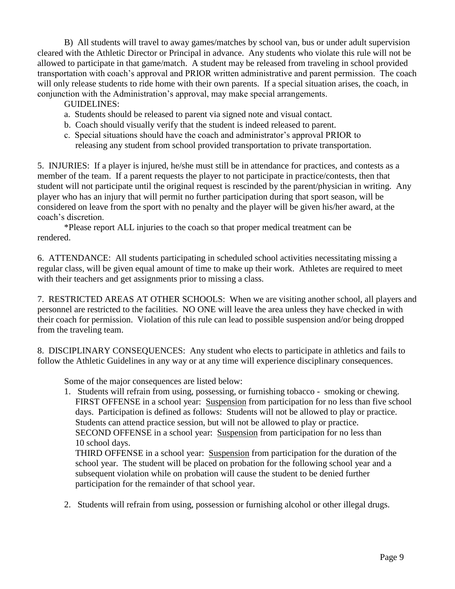B) All students will travel to away games/matches by school van, bus or under adult supervision cleared with the Athletic Director or Principal in advance. Any students who violate this rule will not be allowed to participate in that game/match. A student may be released from traveling in school provided transportation with coach's approval and PRIOR written administrative and parent permission. The coach will only release students to ride home with their own parents. If a special situation arises, the coach, in conjunction with the Administration's approval, may make special arrangements.

GUIDELINES:

- a. Students should be released to parent via signed note and visual contact.
- b. Coach should visually verify that the student is indeed released to parent.
- c. Special situations should have the coach and administrator's approval PRIOR to releasing any student from school provided transportation to private transportation.

5. INJURIES: If a player is injured, he/she must still be in attendance for practices, and contests as a member of the team. If a parent requests the player to not participate in practice/contests, then that student will not participate until the original request is rescinded by the parent/physician in writing. Any player who has an injury that will permit no further participation during that sport season, will be considered on leave from the sport with no penalty and the player will be given his/her award, at the coach's discretion.

\*Please report ALL injuries to the coach so that proper medical treatment can be rendered.

6. ATTENDANCE: All students participating in scheduled school activities necessitating missing a regular class, will be given equal amount of time to make up their work. Athletes are required to meet with their teachers and get assignments prior to missing a class.

7. RESTRICTED AREAS AT OTHER SCHOOLS: When we are visiting another school, all players and personnel are restricted to the facilities. NO ONE will leave the area unless they have checked in with their coach for permission. Violation of this rule can lead to possible suspension and/or being dropped from the traveling team.

8. DISCIPLINARY CONSEQUENCES: Any student who elects to participate in athletics and fails to follow the Athletic Guidelines in any way or at any time will experience disciplinary consequences.

Some of the major consequences are listed below:

1. Students will refrain from using, possessing, or furnishing tobacco - smoking or chewing. FIRST OFFENSE in a school year: Suspension from participation for no less than five school days. Participation is defined as follows: Students will not be allowed to play or practice. Students can attend practice session, but will not be allowed to play or practice. SECOND OFFENSE in a school year: Suspension from participation for no less than 10 school days.

THIRD OFFENSE in a school year: Suspension from participation for the duration of the school year. The student will be placed on probation for the following school year and a subsequent violation while on probation will cause the student to be denied further participation for the remainder of that school year.

2. Students will refrain from using, possession or furnishing alcohol or other illegal drugs.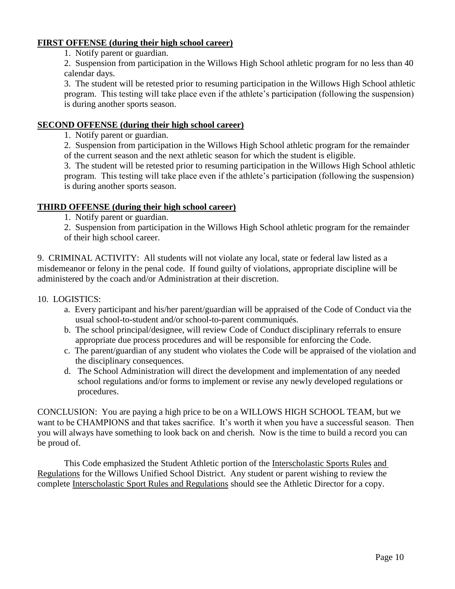### **FIRST OFFENSE (during their high school career)**

1. Notify parent or guardian.

2. Suspension from participation in the Willows High School athletic program for no less than 40 calendar days.

3. The student will be retested prior to resuming participation in the Willows High School athletic program. This testing will take place even if the athlete's participation (following the suspension) is during another sports season.

### **SECOND OFFENSE (during their high school career)**

1. Notify parent or guardian.

2. Suspension from participation in the Willows High School athletic program for the remainder of the current season and the next athletic season for which the student is eligible.

3. The student will be retested prior to resuming participation in the Willows High School athletic program. This testing will take place even if the athlete's participation (following the suspension) is during another sports season.

### **THIRD OFFENSE (during their high school career)**

1. Notify parent or guardian.

2. Suspension from participation in the Willows High School athletic program for the remainder of their high school career.

9. CRIMINAL ACTIVITY: All students will not violate any local, state or federal law listed as a misdemeanor or felony in the penal code. If found guilty of violations, appropriate discipline will be administered by the coach and/or Administration at their discretion.

### 10. LOGISTICS:

- a. Every participant and his/her parent/guardian will be appraised of the Code of Conduct via the usual school-to-student and/or school-to-parent communiqués.
- b. The school principal/designee, will review Code of Conduct disciplinary referrals to ensure appropriate due process procedures and will be responsible for enforcing the Code.
- c. The parent/guardian of any student who violates the Code will be appraised of the violation and the disciplinary consequences.
- d. The School Administration will direct the development and implementation of any needed school regulations and/or forms to implement or revise any newly developed regulations or procedures.

CONCLUSION: You are paying a high price to be on a WILLOWS HIGH SCHOOL TEAM, but we want to be CHAMPIONS and that takes sacrifice. It's worth it when you have a successful season. Then you will always have something to look back on and cherish. Now is the time to build a record you can be proud of.

This Code emphasized the Student Athletic portion of the Interscholastic Sports Rules and Regulations for the Willows Unified School District. Any student or parent wishing to review the complete Interscholastic Sport Rules and Regulations should see the Athletic Director for a copy.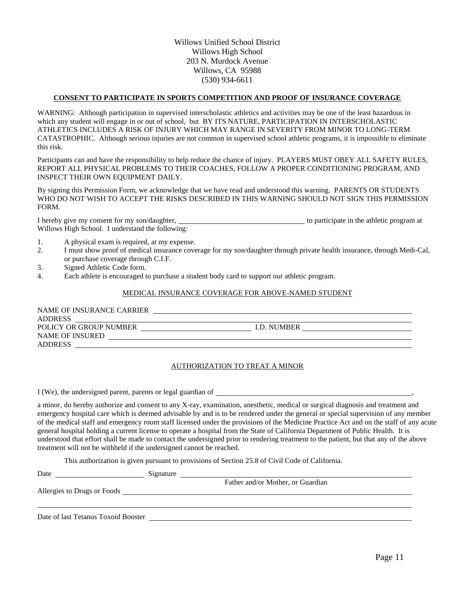Willows Unified School District Willows High School 203 N. Murdock Avenue Willows, CA 95988 (530) 934-6611

#### **CONSENT TO PARTICIPATE IN SPORTS COMPETITION AND PROOF OF INSURANCE COVERAGE**

WARNING: Although participation in supervised interscholastic athletics and activities may be one of the least hazardous in which any student will engage in or out of school, but BY ITS NATURE, PARTICIPATION IN INTERSCHOLASTIC ATHLETICS INCLUDES A RISK OF INJURY WHICH MAY RANGE IN SEVERITY FROM MINOR TO LONG-TERM CATASTROPHIC. Although serious injuries are not common in supervised school athletic programs, it is impossible to eliminate this risk.

Participants can and have the responsibility to help reduce the chance of injury. PLAYERS MUST OBEY ALL SAFETY RULES, REPORT ALL PHYSICAL PROBLEMS TO THEIR COACHES, FOLLOW A PROPER CONDITIONING PROGRAM, AND INSPECT THEIR OWN EQUIPMENT DAILY.

By signing this Permission Form, we acknowledge that we have read and understood this warning. PARENTS OR STUDENTS WHO DO NOT WISH TO ACCEPT THE RISKS DESCRIBED IN THIS WARNING SHOULD NOT SIGN THIS PERMISSION FORM.

I hereby give my consent for my son/daughter, the matching of participate in the athletic program at Willows High School. I understand the following:

- 1. A physical exam is required, at my expense.
- 2. I must show proof of medical insurance coverage for my son/daughter through private health insurance, through Medi-Cal, or purchase coverage through C.I.F.
- 3. Signed Athletic Code form.
- 4. Each athlete is encouraged to purchase a student body card to support our athletic program.

#### MEDICAL INSURANCE COVERAGE FOR ABOVE-NAMED STUDENT

NAME OF INSURANCE CARRIER ADDRESS POLICY OR GROUP NUMBER I.D. NUMBER NAME OF INSURED ADDRESS

#### AUTHORIZATION TO TREAT A MINOR

I (We), the undersigned parent, parents or legal guardian of  $\overline{\phantom{a}}$ 

a minor, do hereby authorize and consent to any X-ray, examination, anesthetic, medical or surgical diagnosis and treatment and emergency hospital care which is deemed advisable by and is to be rendered under the general or special supervision of any member of the medical staff and emergency room staff licensed under the provisions of the Medicine Practice Act and on the staff of any acute general hospital holding a current license to operate a hospital from the State of California Department of Public Health. It is understood that effort shall be made to contact the undersigned prior to rendering treatment to the patient, but that any of the above treatment will not be withheld if the undersigned cannot be reached.

This authorization is given pursuant to provisions of Section 25.8 of Civil Code of California.

| Date                                | Signature |                                   |  |
|-------------------------------------|-----------|-----------------------------------|--|
|                                     |           | Father and/or Mother, or Guardian |  |
| Allergies to Drugs or Foods         |           |                                   |  |
|                                     |           |                                   |  |
| Date of last Tetanus Toxoid Booster |           |                                   |  |

Page 11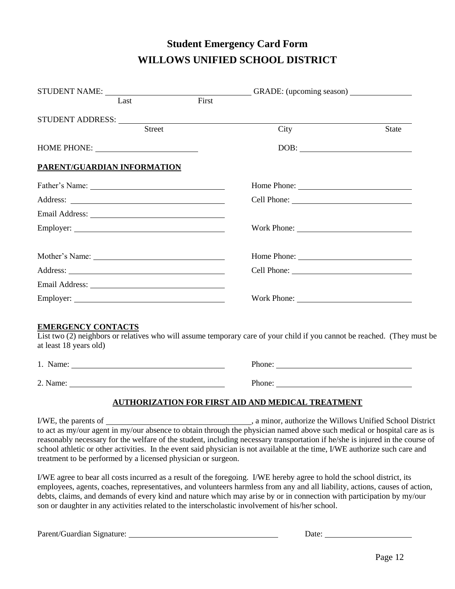### **Student Emergency Card Form WILLOWS UNIFIED SCHOOL DISTRICT**

| STUDENT NAME:                                       |                            |                    | GRADE: (upcoming season)                                                                                                                                                                                                                                  |                                                   |
|-----------------------------------------------------|----------------------------|--------------------|-----------------------------------------------------------------------------------------------------------------------------------------------------------------------------------------------------------------------------------------------------------|---------------------------------------------------|
|                                                     | Last                       | $\overline{First}$ |                                                                                                                                                                                                                                                           |                                                   |
|                                                     |                            |                    |                                                                                                                                                                                                                                                           |                                                   |
|                                                     | $\overline{\text{Street}}$ |                    | City                                                                                                                                                                                                                                                      | <b>State</b>                                      |
|                                                     |                            |                    |                                                                                                                                                                                                                                                           | $\boxed{\text{DOB:}\qquad \qquad \qquad \qquad }$ |
| PARENT/GUARDIAN INFORMATION                         |                            |                    |                                                                                                                                                                                                                                                           |                                                   |
|                                                     |                            |                    |                                                                                                                                                                                                                                                           |                                                   |
|                                                     |                            |                    |                                                                                                                                                                                                                                                           |                                                   |
|                                                     |                            |                    |                                                                                                                                                                                                                                                           |                                                   |
|                                                     |                            |                    | Work Phone:                                                                                                                                                                                                                                               |                                                   |
|                                                     |                            |                    |                                                                                                                                                                                                                                                           |                                                   |
|                                                     |                            |                    |                                                                                                                                                                                                                                                           |                                                   |
|                                                     |                            |                    |                                                                                                                                                                                                                                                           |                                                   |
|                                                     |                            |                    | Work Phone:                                                                                                                                                                                                                                               |                                                   |
| <b>EMERGENCY CONTACTS</b><br>at least 18 years old) |                            |                    | List two (2) neighbors or relatives who will assume temporary care of your child if you cannot be reached. (They must be                                                                                                                                  |                                                   |
| 1. Name: $\qquad \qquad$                            |                            |                    | Phone:                                                                                                                                                                                                                                                    |                                                   |
| 2. Name:                                            |                            |                    | Phone:                                                                                                                                                                                                                                                    |                                                   |
|                                                     |                            |                    | <b>AUTHORIZATION FOR FIRST AID AND MEDICAL TREATMENT</b>                                                                                                                                                                                                  |                                                   |
|                                                     |                            |                    |                                                                                                                                                                                                                                                           |                                                   |
|                                                     |                            |                    | to act as my/our agent in my/our absence to obtain through the physician named above such medical or hospital care as is<br>reasonably necessary for the welfare of the student, including necessary transportation if he/she is injured in the course of |                                                   |

I/WE agree to bear all costs incurred as a result of the foregoing. I/WE hereby agree to hold the school district, its employees, agents, coaches, representatives, and volunteers harmless from any and all liability, actions, causes of action, debts, claims, and demands of every kind and nature which may arise by or in connection with participation by my/our son or daughter in any activities related to the interscholastic involvement of his/her school.

school athletic or other activities. In the event said physician is not available at the time, I/WE authorize such care and

Parent/Guardian Signature: Date:

treatment to be performed by a licensed physician or surgeon.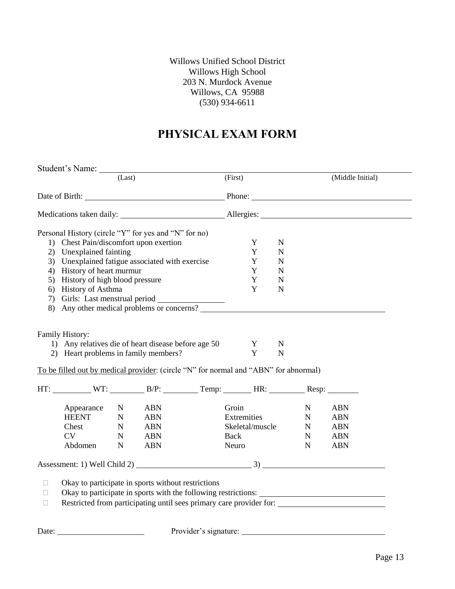Willows Unified School District Willows High School 203 N. Murdock Avenue Willows, CA 95988 (530) 934-6611

### **PHYSICAL EXAM FORM**

|             | Student's Name: Name and Student's Name and Student's Name and Student's Name and Student's Student's Student<br>(Last) |             |            | (First) |                 |                            | (Middle Initial) |                                                                |
|-------------|-------------------------------------------------------------------------------------------------------------------------|-------------|------------|---------|-----------------|----------------------------|------------------|----------------------------------------------------------------|
|             |                                                                                                                         |             |            |         |                 |                            |                  |                                                                |
|             |                                                                                                                         |             |            |         |                 |                            |                  |                                                                |
|             | Personal History (circle "Y" for yes and "N" for no)                                                                    |             |            |         |                 |                            |                  |                                                                |
|             | 1) Chest Pain/discomfort upon exertion                                                                                  |             |            |         | Y               | $\mathbf N$                |                  |                                                                |
|             | 2) Unexplained fainting                                                                                                 |             |            |         | Y               | N                          |                  |                                                                |
|             | 3) Unexplained fatigue associated with exercise                                                                         |             |            |         | Y               | N                          |                  |                                                                |
|             | 4) History of heart murmur                                                                                              |             |            |         | Y               | N                          |                  |                                                                |
| 5)          | History of high blood pressure                                                                                          |             |            |         | Y               | N                          |                  |                                                                |
| 6)          | History of Asthma                                                                                                       |             |            |         | Y               | N                          |                  |                                                                |
| 7)          |                                                                                                                         |             |            |         |                 |                            |                  |                                                                |
| 8)          | Any other medical problems or concerns?                                                                                 |             |            |         |                 |                            |                  |                                                                |
|             | <b>Family History:</b><br>1) Any relatives die of heart disease before age 50<br>2) Heart problems in family members?   |             |            |         | Y<br>Y          | $\mathbf N$<br>$\mathbf N$ |                  |                                                                |
|             | To be filled out by medical provider: (circle "N" for normal and "ABN" for abnormal)                                    |             |            |         |                 |                            |                  |                                                                |
|             |                                                                                                                         |             |            |         |                 |                            |                  |                                                                |
|             | Appearance                                                                                                              | $\mathbf N$ | <b>ABN</b> |         | Groin           |                            | N                | <b>ABN</b>                                                     |
|             | <b>HEENT</b>                                                                                                            | $\mathbf N$ | <b>ABN</b> |         | Extremities     |                            | $\mathbf N$      | <b>ABN</b>                                                     |
|             | Chest                                                                                                                   | $\mathbf N$ | <b>ABN</b> |         | Skeletal/muscle |                            | $\mathbf N$      | <b>ABN</b>                                                     |
|             | CV                                                                                                                      | $\mathbf N$ | <b>ABN</b> |         | Back            |                            | $\mathbf N$      | <b>ABN</b>                                                     |
|             | Abdomen                                                                                                                 | $\mathbf N$ | <b>ABN</b> |         | Neuro           |                            | $\mathbf N$      | <b>ABN</b>                                                     |
|             |                                                                                                                         |             |            |         |                 |                            |                  |                                                                |
|             |                                                                                                                         |             |            |         |                 |                            |                  |                                                                |
| □<br>$\Box$ | Okay to participate in sports without restrictions                                                                      |             |            |         |                 |                            |                  | Okay to participate in sports with the following restrictions: |

Date: <u>New York:</u> Provider's signature: New York: New York: New York: New York: New York: New York: New York: New York: New York: New York: New York: New York: New York: New York: New York: New York: New York: New York: Ne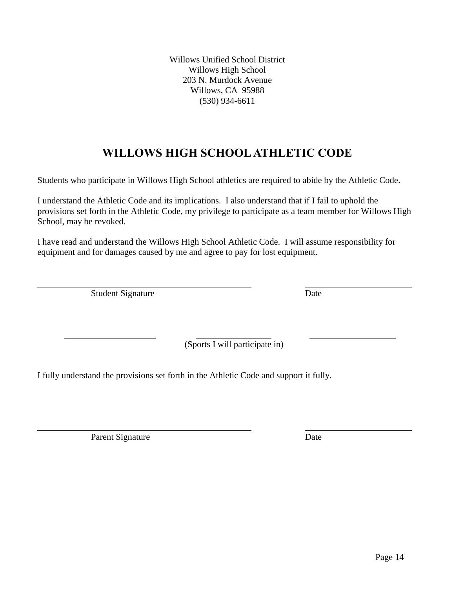Willows Unified School District Willows High School 203 N. Murdock Avenue Willows, CA 95988 (530) 934-6611

### **WILLOWS HIGH SCHOOL ATHLETIC CODE**

Students who participate in Willows High School athletics are required to abide by the Athletic Code.

I understand the Athletic Code and its implications. I also understand that if I fail to uphold the provisions set forth in the Athletic Code, my privilege to participate as a team member for Willows High School, may be revoked.

I have read and understand the Willows High School Athletic Code. I will assume responsibility for equipment and for damages caused by me and agree to pay for lost equipment.

Student Signature Date

 $\overline{a}$ 

(Sports I will participate in)

I fully understand the provisions set forth in the Athletic Code and support it fully.

Parent Signature Date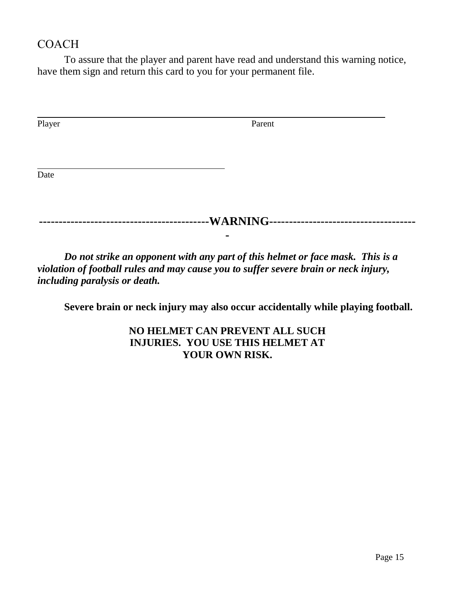### COACH

To assure that the player and parent have read and understand this warning notice, have them sign and return this card to you for your permanent file.

| Player | Parent    |
|--------|-----------|
|        |           |
| Date   |           |
|        |           |
|        | -WARNING- |

*Do not strike an opponent with any part of this helmet or face mask. This is a violation of football rules and may cause you to suffer severe brain or neck injury, including paralysis or death.*

**-**

**Severe brain or neck injury may also occur accidentally while playing football.**

**NO HELMET CAN PREVENT ALL SUCH INJURIES. YOU USE THIS HELMET AT YOUR OWN RISK.**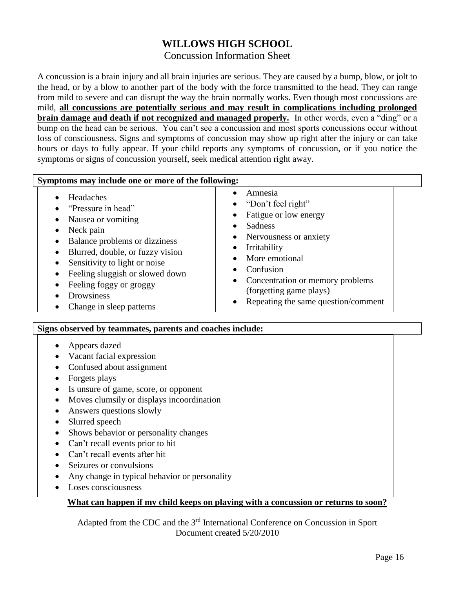### **WILLOWS HIGH SCHOOL**

### Concussion Information Sheet

A concussion is a brain injury and all brain injuries are serious. They are caused by a bump, blow, or jolt to the head, or by a blow to another part of the body with the force transmitted to the head. They can range from mild to severe and can disrupt the way the brain normally works. Even though most concussions are mild, **all concussions are potentially serious and may result in complications including prolonged brain damage and death if not recognized and managed properly.** In other words, even a "ding" or a bump on the head can be serious. You can't see a concussion and most sports concussions occur without loss of consciousness. Signs and symptoms of concussion may show up right after the injury or can take hours or days to fully appear. If your child reports any symptoms of concussion, or if you notice the symptoms or signs of concussion yourself, seek medical attention right away.

| Symptoms may include one or more of the following:                                                                                                                                                                                                                               |                                                                                                                                                                                                                                                  |  |  |  |
|----------------------------------------------------------------------------------------------------------------------------------------------------------------------------------------------------------------------------------------------------------------------------------|--------------------------------------------------------------------------------------------------------------------------------------------------------------------------------------------------------------------------------------------------|--|--|--|
| Headaches<br>"Pressure in head"<br>Nausea or vomiting<br>Neck pain<br>Balance problems or dizziness<br>Blurred, double, or fuzzy vision<br>Sensitivity to light or noise<br>Feeling sluggish or slowed down<br>Feeling foggy or groggy<br>Drowsiness<br>Change in sleep patterns | Amnesia<br>"Don't feel right"<br>Fatigue or low energy<br>Sadness<br>Nervousness or anxiety<br>Irritability<br>More emotional<br>Confusion<br>Concentration or memory problems<br>(forgetting game plays)<br>Repeating the same question/comment |  |  |  |
| Signs observed by teammates, parents and coaches include:                                                                                                                                                                                                                        |                                                                                                                                                                                                                                                  |  |  |  |
| Appears dazed<br>Vacant facial expression<br>Confused about assignment<br>Forgets plays<br>Is unsure of game, score, or opponent<br>$\bullet$<br>Moves clumsily or displays incoordination<br>Answers questions slowly                                                           |                                                                                                                                                                                                                                                  |  |  |  |

- Slurred speech
- Shows behavior or personality changes
- Can't recall events prior to hit
- Can't recall events after hit
- Seizures or convulsions
- Any change in typical behavior or personality
- Loses consciousness

### **What can happen if my child keeps on playing with a concussion or returns to soon?**

Adapted from the CDC and the 3rd International Conference on Concussion in Sport Document created 5/20/2010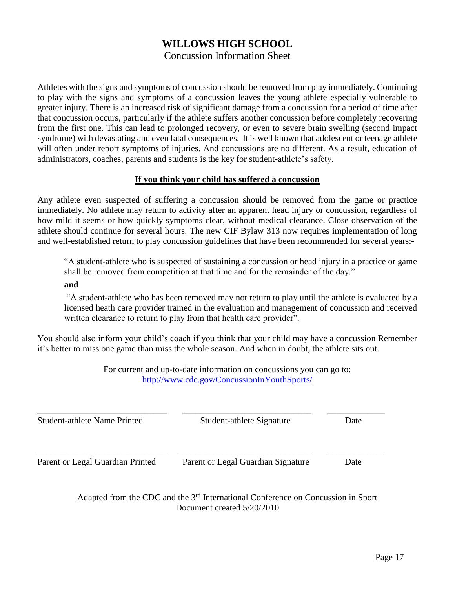## **WILLOWS HIGH SCHOOL**

Concussion Information Sheet

Athletes with the signs and symptoms of concussion should be removed from play immediately. Continuing to play with the signs and symptoms of a concussion leaves the young athlete especially vulnerable to greater injury. There is an increased risk of significant damage from a concussion for a period of time after that concussion occurs, particularly if the athlete suffers another concussion before completely recovering from the first one. This can lead to prolonged recovery, or even to severe brain swelling (second impact syndrome) with devastating and even fatal consequences. It is well known that adolescent or teenage athlete will often under report symptoms of injuries. And concussions are no different. As a result, education of administrators, coaches, parents and students is the key for student-athlete's safety.

### **If you think your child has suffered a concussion**

Any athlete even suspected of suffering a concussion should be removed from the game or practice immediately. No athlete may return to activity after an apparent head injury or concussion, regardless of how mild it seems or how quickly symptoms clear, without medical clearance. Close observation of the athlete should continue for several hours. The new CIF Bylaw 313 now requires implementation of long and well-established return to play concussion guidelines that have been recommended for several years:

"A student-athlete who is suspected of sustaining a concussion or head injury in a practice or game shall be removed from competition at that time and for the remainder of the day."

### **and**

"A student-athlete who has been removed may not return to play until the athlete is evaluated by a licensed heath care provider trained in the evaluation and management of concussion and received written clearance to return to play from that health care provider".

You should also inform your child's coach if you think that your child may have a concussion Remember it's better to miss one game than miss the whole season. And when in doubt, the athlete sits out.

> For current and up-to-date information on concussions you can go to: <http://www.cdc.gov/ConcussionInYouthSports/>

| <b>Student-athlete Name Printed</b> | Student-athlete Signature                                                                                                                  | Date |
|-------------------------------------|--------------------------------------------------------------------------------------------------------------------------------------------|------|
| Parent or Legal Guardian Printed    | Parent or Legal Guardian Signature                                                                                                         | Date |
|                                     | $\lambda$ 1 $\lambda$ 10 $\lambda$ 10 $\lambda$ 10 $\lambda$ 10 $\lambda$ 10 $\lambda$ 10 $\lambda$ 10 $\lambda$ 10 $\lambda$ 10 $\lambda$ |      |

Adapted from the CDC and the  $3<sup>rd</sup>$  International Conference on Concussion in Sport Document created 5/20/2010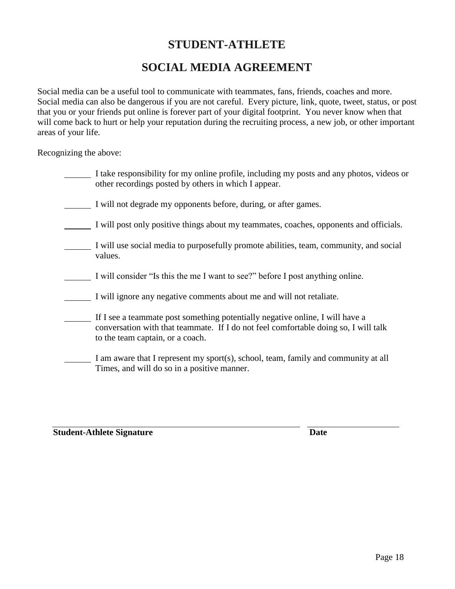### **STUDENT-ATHLETE**

### **SOCIAL MEDIA AGREEMENT**

Social media can be a useful tool to communicate with teammates, fans, friends, coaches and more. Social media can also be dangerous if you are not careful. Every picture, link, quote, tweet, status, or post that you or your friends put online is forever part of your digital footprint. You never know when that will come back to hurt or help your reputation during the recruiting process, a new job, or other important areas of your life.

Recognizing the above:

| I take responsibility for my online profile, including my posts and any photos, videos or<br>other recordings posted by others in which I appear.                                                        |
|----------------------------------------------------------------------------------------------------------------------------------------------------------------------------------------------------------|
| I will not degrade my opponents before, during, or after games.                                                                                                                                          |
| I will post only positive things about my teammates, coaches, opponents and officials.                                                                                                                   |
| I will use social media to purposefully promote abilities, team, community, and social<br>values.                                                                                                        |
| I will consider "Is this the me I want to see?" before I post anything online.                                                                                                                           |
| I will ignore any negative comments about me and will not retaliate.                                                                                                                                     |
| If I see a teammate post something potentially negative online, I will have a<br>conversation with that teammate. If I do not feel comfortable doing so, I will talk<br>to the team captain, or a coach. |
| I am aware that I represent my sport(s), school, team, family and community at all<br>Times, and will do so in a positive manner.                                                                        |

**Student-Athlete Signature Date**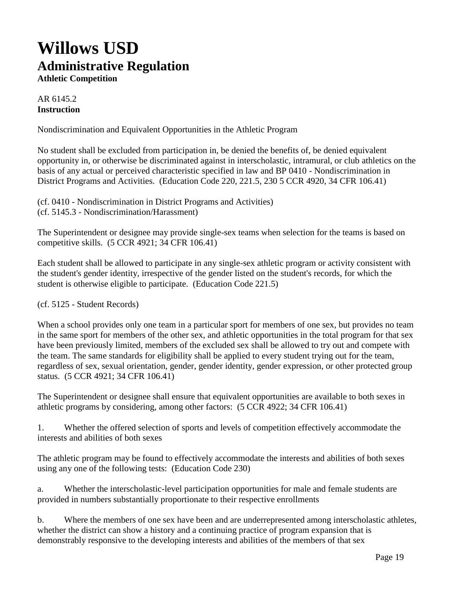### **Willows USD Administrative Regulation Athletic Competition**

AR 6145.2 **Instruction**

Nondiscrimination and Equivalent Opportunities in the Athletic Program

No student shall be excluded from participation in, be denied the benefits of, be denied equivalent opportunity in, or otherwise be discriminated against in interscholastic, intramural, or club athletics on the basis of any actual or perceived characteristic specified in law and BP 0410 - Nondiscrimination in District Programs and Activities. (Education Code 220, 221.5, 230 5 CCR 4920, 34 CFR 106.41)

(cf. 0410 - Nondiscrimination in District Programs and Activities) (cf. 5145.3 - Nondiscrimination/Harassment)

The Superintendent or designee may provide single-sex teams when selection for the teams is based on competitive skills. (5 CCR 4921; 34 CFR 106.41)

Each student shall be allowed to participate in any single-sex athletic program or activity consistent with the student's gender identity, irrespective of the gender listed on the student's records, for which the student is otherwise eligible to participate. (Education Code 221.5)

(cf. 5125 - Student Records)

When a school provides only one team in a particular sport for members of one sex, but provides no team in the same sport for members of the other sex, and athletic opportunities in the total program for that sex have been previously limited, members of the excluded sex shall be allowed to try out and compete with the team. The same standards for eligibility shall be applied to every student trying out for the team, regardless of sex, sexual orientation, gender, gender identity, gender expression, or other protected group status. (5 CCR 4921; 34 CFR 106.41)

The Superintendent or designee shall ensure that equivalent opportunities are available to both sexes in athletic programs by considering, among other factors: (5 CCR 4922; 34 CFR 106.41)

1. Whether the offered selection of sports and levels of competition effectively accommodate the interests and abilities of both sexes

The athletic program may be found to effectively accommodate the interests and abilities of both sexes using any one of the following tests: (Education Code 230)

a. Whether the interscholastic-level participation opportunities for male and female students are provided in numbers substantially proportionate to their respective enrollments

b. Where the members of one sex have been and are underrepresented among interscholastic athletes, whether the district can show a history and a continuing practice of program expansion that is demonstrably responsive to the developing interests and abilities of the members of that sex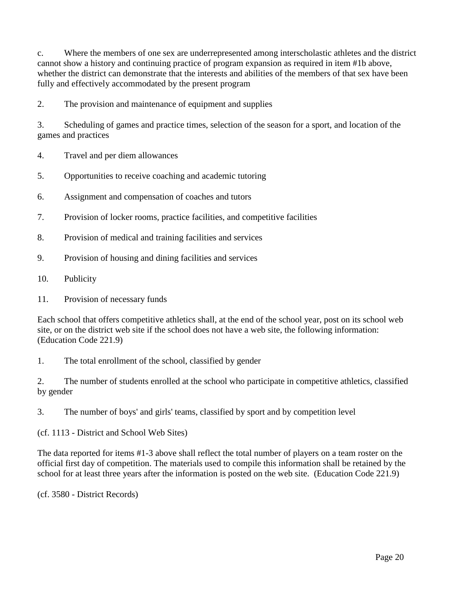c. Where the members of one sex are underrepresented among interscholastic athletes and the district cannot show a history and continuing practice of program expansion as required in item #1b above, whether the district can demonstrate that the interests and abilities of the members of that sex have been fully and effectively accommodated by the present program

2. The provision and maintenance of equipment and supplies

3. Scheduling of games and practice times, selection of the season for a sport, and location of the games and practices

- 4. Travel and per diem allowances
- 5. Opportunities to receive coaching and academic tutoring
- 6. Assignment and compensation of coaches and tutors
- 7. Provision of locker rooms, practice facilities, and competitive facilities
- 8. Provision of medical and training facilities and services
- 9. Provision of housing and dining facilities and services
- 10. Publicity
- 11. Provision of necessary funds

Each school that offers competitive athletics shall, at the end of the school year, post on its school web site, or on the district web site if the school does not have a web site, the following information: (Education Code 221.9)

1. The total enrollment of the school, classified by gender

2. The number of students enrolled at the school who participate in competitive athletics, classified by gender

3. The number of boys' and girls' teams, classified by sport and by competition level

(cf. 1113 - District and School Web Sites)

The data reported for items #1-3 above shall reflect the total number of players on a team roster on the official first day of competition. The materials used to compile this information shall be retained by the school for at least three years after the information is posted on the web site. (Education Code 221.9)

(cf. 3580 - District Records)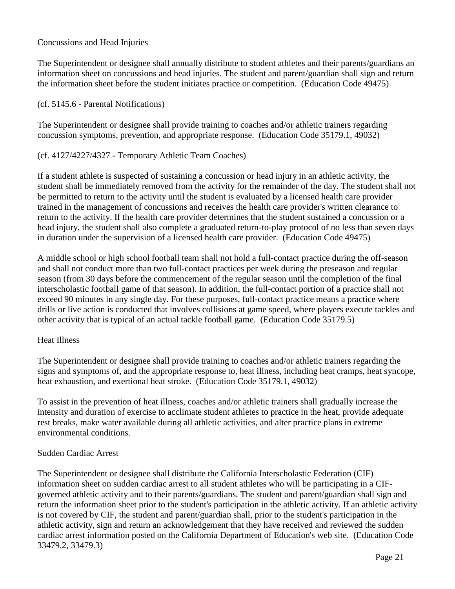### Concussions and Head Injuries

The Superintendent or designee shall annually distribute to student athletes and their parents/guardians an information sheet on concussions and head injuries. The student and parent/guardian shall sign and return the information sheet before the student initiates practice or competition. (Education Code 49475)

### (cf. 5145.6 - Parental Notifications)

The Superintendent or designee shall provide training to coaches and/or athletic trainers regarding concussion symptoms, prevention, and appropriate response. (Education Code 35179.1, 49032)

### (cf. 4127/4227/4327 - Temporary Athletic Team Coaches)

If a student athlete is suspected of sustaining a concussion or head injury in an athletic activity, the student shall be immediately removed from the activity for the remainder of the day. The student shall not be permitted to return to the activity until the student is evaluated by a licensed health care provider trained in the management of concussions and receives the health care provider's written clearance to return to the activity. If the health care provider determines that the student sustained a concussion or a head injury, the student shall also complete a graduated return-to-play protocol of no less than seven days in duration under the supervision of a licensed health care provider. (Education Code 49475)

A middle school or high school football team shall not hold a full-contact practice during the off-season and shall not conduct more than two full-contact practices per week during the preseason and regular season (from 30 days before the commencement of the regular season until the completion of the final interscholastic football game of that season). In addition, the full-contact portion of a practice shall not exceed 90 minutes in any single day. For these purposes, full-contact practice means a practice where drills or live action is conducted that involves collisions at game speed, where players execute tackles and other activity that is typical of an actual tackle football game. (Education Code 35179.5)

#### Heat Illness

The Superintendent or designee shall provide training to coaches and/or athletic trainers regarding the signs and symptoms of, and the appropriate response to, heat illness, including heat cramps, heat syncope, heat exhaustion, and exertional heat stroke. (Education Code 35179.1, 49032)

To assist in the prevention of heat illness, coaches and/or athletic trainers shall gradually increase the intensity and duration of exercise to acclimate student athletes to practice in the heat, provide adequate rest breaks, make water available during all athletic activities, and alter practice plans in extreme environmental conditions.

#### Sudden Cardiac Arrest

The Superintendent or designee shall distribute the California Interscholastic Federation (CIF) information sheet on sudden cardiac arrest to all student athletes who will be participating in a CIFgoverned athletic activity and to their parents/guardians. The student and parent/guardian shall sign and return the information sheet prior to the student's participation in the athletic activity. If an athletic activity is not covered by CIF, the student and parent/guardian shall, prior to the student's participation in the athletic activity, sign and return an acknowledgement that they have received and reviewed the sudden cardiac arrest information posted on the California Department of Education's web site. (Education Code 33479.2, 33479.3)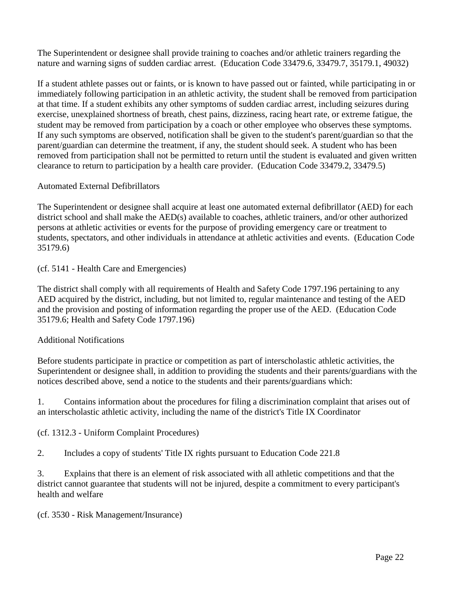The Superintendent or designee shall provide training to coaches and/or athletic trainers regarding the nature and warning signs of sudden cardiac arrest. (Education Code 33479.6, 33479.7, 35179.1, 49032)

If a student athlete passes out or faints, or is known to have passed out or fainted, while participating in or immediately following participation in an athletic activity, the student shall be removed from participation at that time. If a student exhibits any other symptoms of sudden cardiac arrest, including seizures during exercise, unexplained shortness of breath, chest pains, dizziness, racing heart rate, or extreme fatigue, the student may be removed from participation by a coach or other employee who observes these symptoms. If any such symptoms are observed, notification shall be given to the student's parent/guardian so that the parent/guardian can determine the treatment, if any, the student should seek. A student who has been removed from participation shall not be permitted to return until the student is evaluated and given written clearance to return to participation by a health care provider. (Education Code 33479.2, 33479.5)

### Automated External Defibrillators

The Superintendent or designee shall acquire at least one automated external defibrillator (AED) for each district school and shall make the AED(s) available to coaches, athletic trainers, and/or other authorized persons at athletic activities or events for the purpose of providing emergency care or treatment to students, spectators, and other individuals in attendance at athletic activities and events. (Education Code 35179.6)

(cf. 5141 - Health Care and Emergencies)

The district shall comply with all requirements of Health and Safety Code 1797.196 pertaining to any AED acquired by the district, including, but not limited to, regular maintenance and testing of the AED and the provision and posting of information regarding the proper use of the AED. (Education Code 35179.6; Health and Safety Code 1797.196)

### Additional Notifications

Before students participate in practice or competition as part of interscholastic athletic activities, the Superintendent or designee shall, in addition to providing the students and their parents/guardians with the notices described above, send a notice to the students and their parents/guardians which:

1. Contains information about the procedures for filing a discrimination complaint that arises out of an interscholastic athletic activity, including the name of the district's Title IX Coordinator

(cf. 1312.3 - Uniform Complaint Procedures)

2. Includes a copy of students' Title IX rights pursuant to Education Code 221.8

3. Explains that there is an element of risk associated with all athletic competitions and that the district cannot guarantee that students will not be injured, despite a commitment to every participant's health and welfare

(cf. 3530 - Risk Management/Insurance)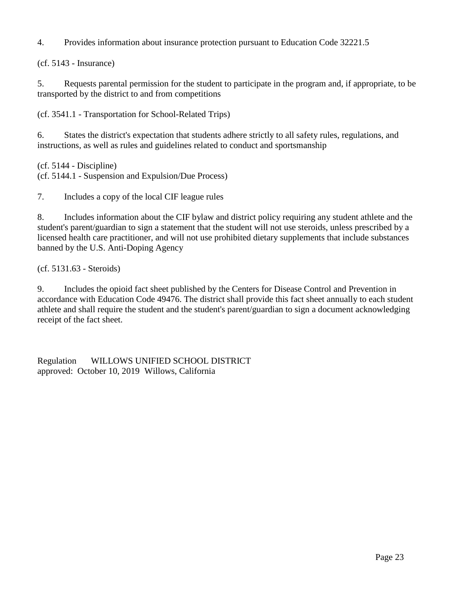4. Provides information about insurance protection pursuant to Education Code 32221.5

(cf. 5143 - Insurance)

5. Requests parental permission for the student to participate in the program and, if appropriate, to be transported by the district to and from competitions

(cf. 3541.1 - Transportation for School-Related Trips)

6. States the district's expectation that students adhere strictly to all safety rules, regulations, and instructions, as well as rules and guidelines related to conduct and sportsmanship

(cf. 5144 - Discipline) (cf. 5144.1 - Suspension and Expulsion/Due Process)

7. Includes a copy of the local CIF league rules

8. Includes information about the CIF bylaw and district policy requiring any student athlete and the student's parent/guardian to sign a statement that the student will not use steroids, unless prescribed by a licensed health care practitioner, and will not use prohibited dietary supplements that include substances banned by the U.S. Anti-Doping Agency

(cf. 5131.63 - Steroids)

9. Includes the opioid fact sheet published by the Centers for Disease Control and Prevention in accordance with Education Code 49476. The district shall provide this fact sheet annually to each student athlete and shall require the student and the student's parent/guardian to sign a document acknowledging receipt of the fact sheet.

Regulation WILLOWS UNIFIED SCHOOL DISTRICT approved: October 10, 2019 Willows, California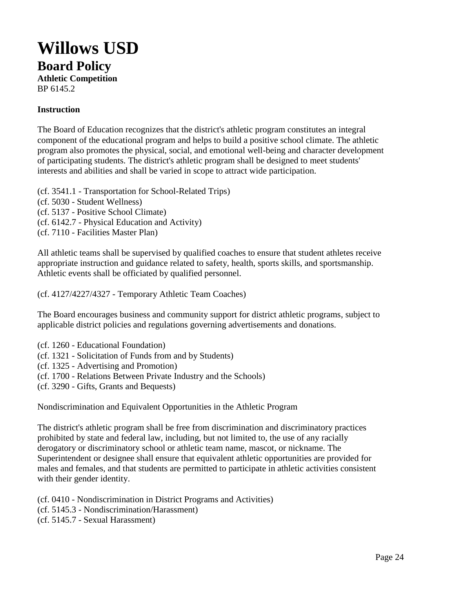## **Willows USD Board Policy**

**Athletic Competition** BP 6145.2

### **Instruction**

The Board of Education recognizes that the district's athletic program constitutes an integral component of the educational program and helps to build a positive school climate. The athletic program also promotes the physical, social, and emotional well-being and character development of participating students. The district's athletic program shall be designed to meet students' interests and abilities and shall be varied in scope to attract wide participation.

- (cf. 3541.1 Transportation for School-Related Trips)
- (cf. 5030 Student Wellness)
- (cf. 5137 Positive School Climate)
- (cf. 6142.7 Physical Education and Activity)
- (cf. 7110 Facilities Master Plan)

All athletic teams shall be supervised by qualified coaches to ensure that student athletes receive appropriate instruction and guidance related to safety, health, sports skills, and sportsmanship. Athletic events shall be officiated by qualified personnel.

(cf. 4127/4227/4327 - Temporary Athletic Team Coaches)

The Board encourages business and community support for district athletic programs, subject to applicable district policies and regulations governing advertisements and donations.

- (cf. 1260 Educational Foundation)
- (cf. 1321 Solicitation of Funds from and by Students)
- (cf. 1325 Advertising and Promotion)
- (cf. 1700 Relations Between Private Industry and the Schools)
- (cf. 3290 Gifts, Grants and Bequests)

Nondiscrimination and Equivalent Opportunities in the Athletic Program

The district's athletic program shall be free from discrimination and discriminatory practices prohibited by state and federal law, including, but not limited to, the use of any racially derogatory or discriminatory school or athletic team name, mascot, or nickname. The Superintendent or designee shall ensure that equivalent athletic opportunities are provided for males and females, and that students are permitted to participate in athletic activities consistent with their gender identity.

(cf. 0410 - Nondiscrimination in District Programs and Activities)

(cf. 5145.3 - Nondiscrimination/Harassment)

(cf. 5145.7 - Sexual Harassment)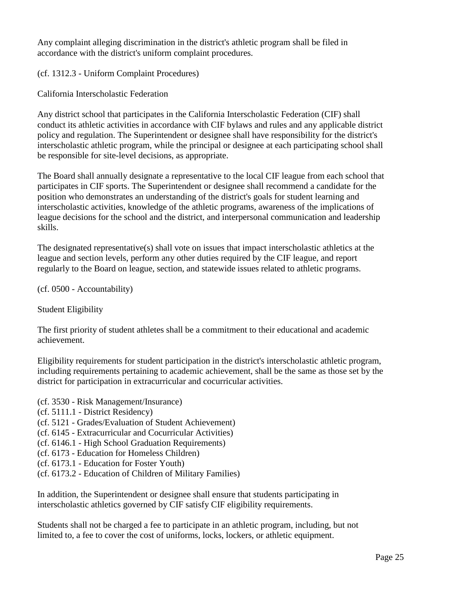Any complaint alleging discrimination in the district's athletic program shall be filed in accordance with the district's uniform complaint procedures.

(cf. 1312.3 - Uniform Complaint Procedures)

California Interscholastic Federation

Any district school that participates in the California Interscholastic Federation (CIF) shall conduct its athletic activities in accordance with CIF bylaws and rules and any applicable district policy and regulation. The Superintendent or designee shall have responsibility for the district's interscholastic athletic program, while the principal or designee at each participating school shall be responsible for site-level decisions, as appropriate.

The Board shall annually designate a representative to the local CIF league from each school that participates in CIF sports. The Superintendent or designee shall recommend a candidate for the position who demonstrates an understanding of the district's goals for student learning and interscholastic activities, knowledge of the athletic programs, awareness of the implications of league decisions for the school and the district, and interpersonal communication and leadership skills.

The designated representative(s) shall vote on issues that impact interscholastic athletics at the league and section levels, perform any other duties required by the CIF league, and report regularly to the Board on league, section, and statewide issues related to athletic programs.

(cf. 0500 - Accountability)

Student Eligibility

The first priority of student athletes shall be a commitment to their educational and academic achievement.

Eligibility requirements for student participation in the district's interscholastic athletic program, including requirements pertaining to academic achievement, shall be the same as those set by the district for participation in extracurricular and cocurricular activities.

- (cf. 3530 Risk Management/Insurance)
- (cf. 5111.1 District Residency)
- (cf. 5121 Grades/Evaluation of Student Achievement)
- (cf. 6145 Extracurricular and Cocurricular Activities)
- (cf. 6146.1 High School Graduation Requirements)
- (cf. 6173 Education for Homeless Children)
- (cf. 6173.1 Education for Foster Youth)
- (cf. 6173.2 Education of Children of Military Families)

In addition, the Superintendent or designee shall ensure that students participating in interscholastic athletics governed by CIF satisfy CIF eligibility requirements.

Students shall not be charged a fee to participate in an athletic program, including, but not limited to, a fee to cover the cost of uniforms, locks, lockers, or athletic equipment.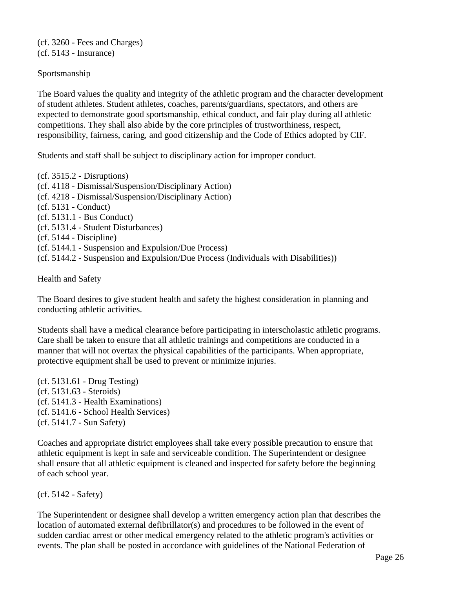(cf. 3260 - Fees and Charges) (cf. 5143 - Insurance)

### Sportsmanship

The Board values the quality and integrity of the athletic program and the character development of student athletes. Student athletes, coaches, parents/guardians, spectators, and others are expected to demonstrate good sportsmanship, ethical conduct, and fair play during all athletic competitions. They shall also abide by the core principles of trustworthiness, respect, responsibility, fairness, caring, and good citizenship and the Code of Ethics adopted by CIF.

Students and staff shall be subject to disciplinary action for improper conduct.

(cf. 3515.2 - Disruptions) (cf. 4118 - Dismissal/Suspension/Disciplinary Action) (cf. 4218 - Dismissal/Suspension/Disciplinary Action) (cf. 5131 - Conduct) (cf. 5131.1 - Bus Conduct) (cf. 5131.4 - Student Disturbances) (cf. 5144 - Discipline) (cf. 5144.1 - Suspension and Expulsion/Due Process) (cf. 5144.2 - Suspension and Expulsion/Due Process (Individuals with Disabilities))

Health and Safety

The Board desires to give student health and safety the highest consideration in planning and conducting athletic activities.

Students shall have a medical clearance before participating in interscholastic athletic programs. Care shall be taken to ensure that all athletic trainings and competitions are conducted in a manner that will not overtax the physical capabilities of the participants. When appropriate, protective equipment shall be used to prevent or minimize injuries.

(cf. 5131.61 - Drug Testing) (cf. 5131.63 - Steroids) (cf. 5141.3 - Health Examinations) (cf. 5141.6 - School Health Services) (cf. 5141.7 - Sun Safety)

Coaches and appropriate district employees shall take every possible precaution to ensure that athletic equipment is kept in safe and serviceable condition. The Superintendent or designee shall ensure that all athletic equipment is cleaned and inspected for safety before the beginning of each school year.

(cf. 5142 - Safety)

The Superintendent or designee shall develop a written emergency action plan that describes the location of automated external defibrillator(s) and procedures to be followed in the event of sudden cardiac arrest or other medical emergency related to the athletic program's activities or events. The plan shall be posted in accordance with guidelines of the National Federation of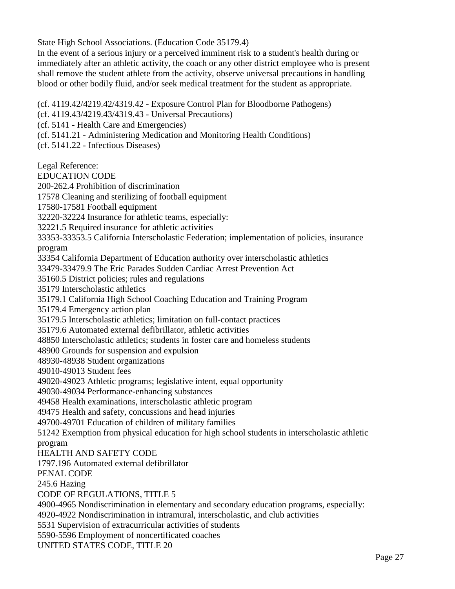State High School Associations. (Education Code 35179.4)

In the event of a serious injury or a perceived imminent risk to a student's health during or immediately after an athletic activity, the coach or any other district employee who is present shall remove the student athlete from the activity, observe universal precautions in handling blood or other bodily fluid, and/or seek medical treatment for the student as appropriate.

- (cf. 4119.42/4219.42/4319.42 Exposure Control Plan for Bloodborne Pathogens)
- (cf. 4119.43/4219.43/4319.43 Universal Precautions)
- (cf. 5141 Health Care and Emergencies)
- (cf. 5141.21 Administering Medication and Monitoring Health Conditions)
- (cf. 5141.22 Infectious Diseases)

Legal Reference:

EDUCATION CODE

200-262.4 Prohibition of discrimination

17578 Cleaning and sterilizing of football equipment

17580-17581 Football equipment

32220-32224 Insurance for athletic teams, especially:

32221.5 Required insurance for athletic activities

33353-33353.5 California Interscholastic Federation; implementation of policies, insurance program

- 33354 California Department of Education authority over interscholastic athletics
- 33479-33479.9 The Eric Parades Sudden Cardiac Arrest Prevention Act

35160.5 District policies; rules and regulations

35179 Interscholastic athletics

35179.1 California High School Coaching Education and Training Program

35179.4 Emergency action plan

35179.5 Interscholastic athletics; limitation on full-contact practices

35179.6 Automated external defibrillator, athletic activities

48850 Interscholastic athletics; students in foster care and homeless students

48900 Grounds for suspension and expulsion

48930-48938 Student organizations

49010-49013 Student fees

49020-49023 Athletic programs; legislative intent, equal opportunity

49030-49034 Performance-enhancing substances

49458 Health examinations, interscholastic athletic program

49475 Health and safety, concussions and head injuries

49700-49701 Education of children of military families

51242 Exemption from physical education for high school students in interscholastic athletic program

HEALTH AND SAFETY CODE

1797.196 Automated external defibrillator

PENAL CODE

245.6 Hazing

CODE OF REGULATIONS, TITLE 5

4900-4965 Nondiscrimination in elementary and secondary education programs, especially:

4920-4922 Nondiscrimination in intramural, interscholastic, and club activities

5531 Supervision of extracurricular activities of students

5590-5596 Employment of noncertificated coaches

UNITED STATES CODE, TITLE 20